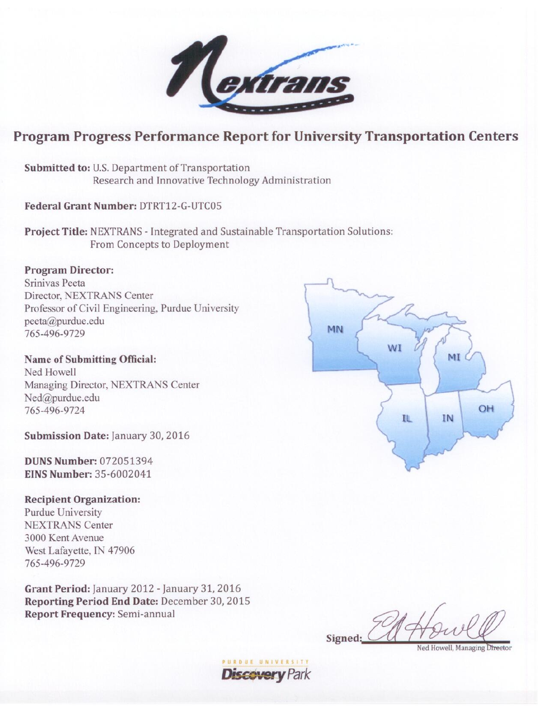

# **Program Progress Performance Report for University Transportation Centers**

Submitted to: U.S. Department of Transportation Research and Innovative Technology Administration

Federal Grant Number: DTRT12-G-UTC05

Project Title: NEXTRANS - Integrated and Sustainable Transportation Solutions: From Concepts to Deployment

# **Program Director:**

Sriniyas Peeta Director, NEXTRANS Center Professor of Civil Engineering, Purdue University peeta@purdue.edu 765-496-9729

**Name of Submitting Official:** Ned Howell Managing Director, NEXTRANS Center Ned@purdue.edu 765-496-9724

Submission Date: January 30, 2016

**DUNS Number: 072051394** EINS Number: 35-6002041

# **Recipient Organization:**

Purdue University **NEXTRANS Center** 3000 Kent Avenue West Lafayette, IN 47906 765-496-9729

Grant Period: January 2012 - January 31, 2016 Reporting Period End Date: December 30, 2015 **Report Frequency: Semi-annual** 

**PURDUE UNI** 

**Discovery Park** 



Signed:

Ned Howell, Managing Director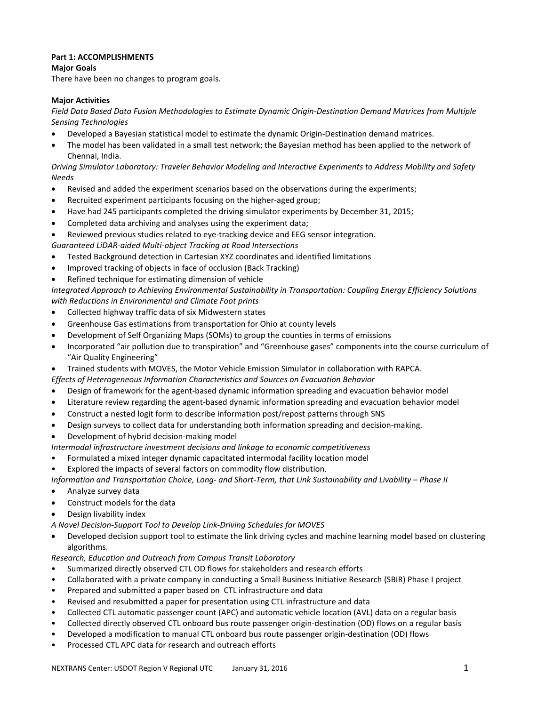## **Part 1: ACCOMPLISHMENTS**

**Major Goals**

There have been no changes to program goals.

### **Major Activities**

*Field Data Based Data Fusion Methodologies to Estimate Dynamic Origin-Destination Demand Matrices from Multiple Sensing Technologies*

- Developed a Bayesian statistical model to estimate the dynamic Origin-Destination demand matrices.
- The model has been validated in a small test network; the Bayesian method has been applied to the network of Chennai, India.

*Driving Simulator Laboratory: Traveler Behavior Modeling and Interactive Experiments to Address Mobility and Safety Needs*

- Revised and added the experiment scenarios based on the observations during the experiments;
- Recruited experiment participants focusing on the higher-aged group;
- Have had 245 participants completed the driving simulator experiments by December 31, 2015;
- Completed data archiving and analyses using the experiment data;

Reviewed previous studies related to eye-tracking device and EEG sensor integration.

*Guaranteed LiDAR-aided Multi-object Tracking at Road Intersections*

- Tested Background detection in Cartesian XYZ coordinates and identified limitations
- Improved tracking of objects in face of occlusion (Back Tracking)
- Refined technique for estimating dimension of vehicle

*Integrated Approach to Achieving Environmental Sustainability in Transportation: Coupling Energy Efficiency Solutions with Reductions in Environmental and Climate Foot prints*

- Collected highway traffic data of six Midwestern states
- Greenhouse Gas estimations from transportation for Ohio at county levels
- Development of Self Organizing Maps (SOMs) to group the counties in terms of emissions
- Incorporated "air pollution due to transpiration" and "Greenhouse gases" components into the course curriculum of "Air Quality Engineering"
- Trained students with MOVES, the Motor Vehicle Emission Simulator in collaboration with RAPCA.

*Effects of Heterogeneous Information Characteristics and Sources on Evacuation Behavior*

- Design of framework for the agent-based dynamic information spreading and evacuation behavior model
- Literature review regarding the agent-based dynamic information spreading and evacuation behavior model
- Construct a nested logit form to describe information post/repost patterns through SNS
- Design surveys to collect data for understanding both information spreading and decision-making.
- Development of hybrid decision-making model

*Intermodal infrastructure investment decisions and linkage to economic competitiveness*

- Formulated a mixed integer dynamic capacitated intermodal facility location model
- Explored the impacts of several factors on commodity flow distribution.

*Information and Transportation Choice, Long- and Short-Term, that Link Sustainability and Livability – Phase II*

- Analyze survey data
- Construct models for the data
- Design livability index

*A Novel Decision-Support Tool to Develop Link-Driving Schedules for MOVES*

• Developed decision support tool to estimate the link driving cycles and machine learning model based on clustering algorithms.

*Research, Education and Outreach from Campus Transit Laboratory*

- Summarized directly observed CTL OD flows for stakeholders and research efforts
- Collaborated with a private company in conducting a Small Business Initiative Research (SBIR) Phase I project
- Prepared and submitted a paper based on CTL infrastructure and data
- Revised and resubmitted a paper for presentation using CTL infrastructure and data
- Collected CTL automatic passenger count (APC) and automatic vehicle location (AVL) data on a regular basis
- Collected directly observed CTL onboard bus route passenger origin-destination (OD) flows on a regular basis
- Developed a modification to manual CTL onboard bus route passenger origin-destination (OD) flows
- Processed CTL APC data for research and outreach efforts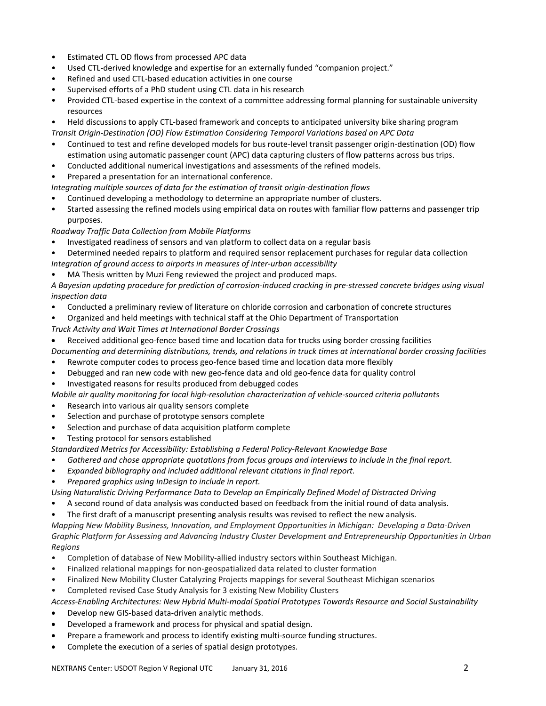- Estimated CTL OD flows from processed APC data
- Used CTL-derived knowledge and expertise for an externally funded "companion project."
- Refined and used CTL-based education activities in one course
- Supervised efforts of a PhD student using CTL data in his research
- Provided CTL-based expertise in the context of a committee addressing formal planning for sustainable university resources
- Held discussions to apply CTL-based framework and concepts to anticipated university bike sharing program *Transit Origin-Destination (OD) Flow Estimation Considering Temporal Variations based on APC Data*
- Continued to test and refine developed models for bus route-level transit passenger origin-destination (OD) flow estimation using automatic passenger count (APC) data capturing clusters of flow patterns across bus trips.
- Conducted additional numerical investigations and assessments of the refined models.
- Prepared a presentation for an international conference.
- *Integrating multiple sources of data for the estimation of transit origin-destination flows*
- Continued developing a methodology to determine an appropriate number of clusters.
- Started assessing the refined models using empirical data on routes with familiar flow patterns and passenger trip purposes.

## *Roadway Traffic Data Collection from Mobile Platforms*

- Investigated readiness of sensors and van platform to collect data on a regular basis
- Determined needed repairs to platform and required sensor replacement purchases for regular data collection *Integration of ground access to airports in measures of inter-urban accessibility*
- MA Thesis written by Muzi Feng reviewed the project and produced maps.

*A Bayesian updating procedure for prediction of corrosion-induced cracking in pre-stressed concrete bridges using visual inspection data*

- Conducted a preliminary review of literature on chloride corrosion and carbonation of concrete structures
- Organized and held meetings with technical staff at the Ohio Department of Transportation

*Truck Activity and Wait Times at International Border Crossings*

• Received additional geo-fence based time and location data for trucks using border crossing facilities

*Documenting and determining distributions, trends, and relations in truck times at international border crossing facilities*

- Rewrote computer codes to process geo-fence based time and location data more flexibly
- Debugged and ran new code with new geo-fence data and old geo-fence data for quality control
- Investigated reasons for results produced from debugged codes
- *Mobile air quality monitoring for local high-resolution characterization of vehicle-sourced criteria pollutants*
- Research into various air quality sensors complete
- Selection and purchase of prototype sensors complete
- Selection and purchase of data acquisition platform complete
- Testing protocol for sensors established

*Standardized Metrics for Accessibility: Establishing a Federal Policy-Relevant Knowledge Base* 

- *Gathered and chose appropriate quotations from focus groups and interviews to include in the final report.*
- *Expanded bibliography and included additional relevant citations in final report.*
- *Prepared graphics using InDesign to include in report.*

*Using Naturalistic Driving Performance Data to Develop an Empirically Defined Model of Distracted Driving*

- A second round of data analysis was conducted based on feedback from the initial round of data analysis.
- The first draft of a manuscript presenting analysis results was revised to reflect the new analysis.

*Mapping New Mobility Business, Innovation, and Employment Opportunities in Michigan: Developing a Data-Driven Graphic Platform for Assessing and Advancing Industry Cluster Development and Entrepreneurship Opportunities in Urban Regions*

- Completion of database of New Mobility-allied industry sectors within Southeast Michigan.
- Finalized relational mappings for non-geospatialized data related to cluster formation
- Finalized New Mobility Cluster Catalyzing Projects mappings for several Southeast Michigan scenarios
- Completed revised Case Study Analysis for 3 existing New Mobility Clusters

*Access-Enabling Architectures: New Hybrid Multi-modal Spatial Prototypes Towards Resource and Social Sustainability*

- Develop new GIS-based data-driven analytic methods.
- Developed a framework and process for physical and spatial design.
- Prepare a framework and process to identify existing multi-source funding structures.
- Complete the execution of a series of spatial design prototypes.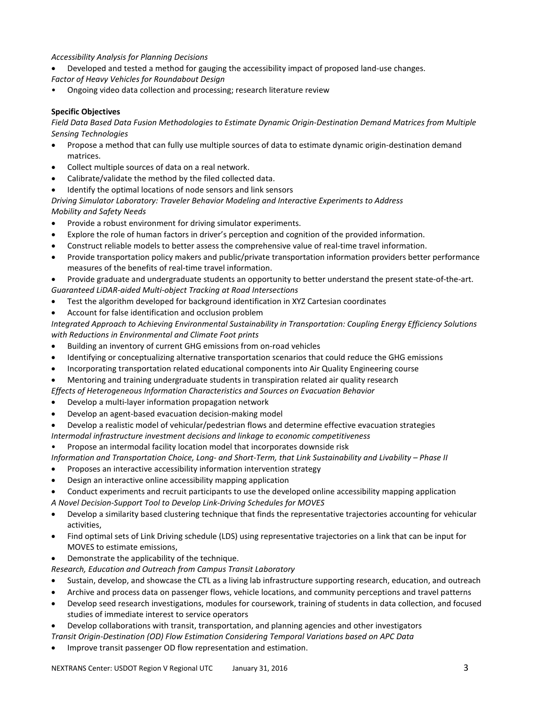## *Accessibility Analysis for Planning Decisions*

- Developed and tested a method for gauging the accessibility impact of proposed land-use changes. *Factor of Heavy Vehicles for Roundabout Design*
- Ongoing video data collection and processing; research literature review

## **Specific Objectives**

*Field Data Based Data Fusion Methodologies to Estimate Dynamic Origin-Destination Demand Matrices from Multiple Sensing Technologies*

- Propose a method that can fully use multiple sources of data to estimate dynamic origin-destination demand matrices.
- Collect multiple sources of data on a real network.
- Calibrate/validate the method by the filed collected data.
- Identify the optimal locations of node sensors and link sensors

*Driving Simulator Laboratory: Traveler Behavior Modeling and Interactive Experiments to Address*

- *Mobility and Safety Needs*
- Provide a robust environment for driving simulator experiments.
- Explore the role of human factors in driver's perception and cognition of the provided information.
- Construct reliable models to better assess the comprehensive value of real-time travel information.
- Provide transportation policy makers and public/private transportation information providers better performance measures of the benefits of real-time travel information.
- Provide graduate and undergraduate students an opportunity to better understand the present state-of-the-art. *Guaranteed LiDAR-aided Multi-object Tracking at Road Intersections*
- Test the algorithm developed for background identification in XYZ Cartesian coordinates
- Account for false identification and occlusion problem

*Integrated Approach to Achieving Environmental Sustainability in Transportation: Coupling Energy Efficiency Solutions with Reductions in Environmental and Climate Foot prints*

- Building an inventory of current GHG emissions from on-road vehicles
- Identifying or conceptualizing alternative transportation scenarios that could reduce the GHG emissions
- Incorporating transportation related educational components into Air Quality Engineering course
- Mentoring and training undergraduate students in transpiration related air quality research

*Effects of Heterogeneous Information Characteristics and Sources on Evacuation Behavior*

- Develop a multi-layer information propagation network
- Develop an agent-based evacuation decision-making model
- Develop a realistic model of vehicular/pedestrian flows and determine effective evacuation strategies
- *Intermodal infrastructure investment decisions and linkage to economic competitiveness*
- Propose an intermodal facility location model that incorporates downside risk

*Information and Transportation Choice, Long- and Short-Term, that Link Sustainability and Livability – Phase II*

- Proposes an interactive accessibility information intervention strategy
- Design an interactive online accessibility mapping application
- Conduct experiments and recruit participants to use the developed online accessibility mapping application *A Novel Decision-Support Tool to Develop Link-Driving Schedules for MOVES*
- Develop a similarity based clustering technique that finds the representative trajectories accounting for vehicular activities,
- Find optimal sets of Link Driving schedule (LDS) using representative trajectories on a link that can be input for MOVES to estimate emissions,
- Demonstrate the applicability of the technique.

*Research, Education and Outreach from Campus Transit Laboratory*

- Sustain, develop, and showcase the CTL as a living lab infrastructure supporting research, education, and outreach
- Archive and process data on passenger flows, vehicle locations, and community perceptions and travel patterns
- Develop seed research investigations, modules for coursework, training of students in data collection, and focused studies of immediate interest to service operators
- Develop collaborations with transit, transportation, and planning agencies and other investigators

*Transit Origin-Destination (OD) Flow Estimation Considering Temporal Variations based on APC Data*

• Improve transit passenger OD flow representation and estimation.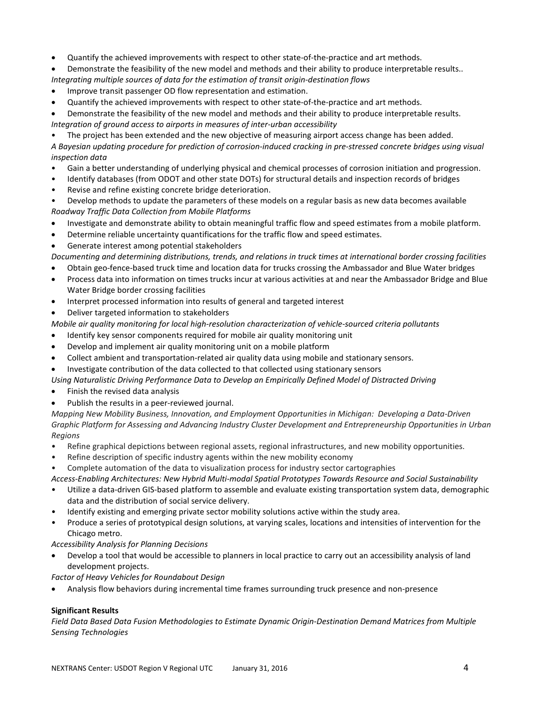- Quantify the achieved improvements with respect to other state-of-the-practice and art methods.
- Demonstrate the feasibility of the new model and methods and their ability to produce interpretable results.. *Integrating multiple sources of data for the estimation of transit origin-destination flows*
- Improve transit passenger OD flow representation and estimation.
- Quantify the achieved improvements with respect to other state-of-the-practice and art methods.

• Demonstrate the feasibility of the new model and methods and their ability to produce interpretable results. *Integration of ground access to airports in measures of inter-urban accessibility*

• The project has been extended and the new objective of measuring airport access change has been added.

*A Bayesian updating procedure for prediction of corrosion-induced cracking in pre-stressed concrete bridges using visual inspection data*

- Gain a better understanding of underlying physical and chemical processes of corrosion initiation and progression.
- Identify databases (from ODOT and other state DOTs) for structural details and inspection records of bridges
- Revise and refine existing concrete bridge deterioration.

• Develop methods to update the parameters of these models on a regular basis as new data becomes available *Roadway Traffic Data Collection from Mobile Platforms*

- Investigate and demonstrate ability to obtain meaningful traffic flow and speed estimates from a mobile platform.
- Determine reliable uncertainty quantifications for the traffic flow and speed estimates.
- Generate interest among potential stakeholders

*Documenting and determining distributions, trends, and relations in truck times at international border crossing facilities*

- Obtain geo-fence-based truck time and location data for trucks crossing the Ambassador and Blue Water bridges
- Process data into information on times trucks incur at various activities at and near the Ambassador Bridge and Blue Water Bridge border crossing facilities
- Interpret processed information into results of general and targeted interest
- Deliver targeted information to stakeholders

*Mobile air quality monitoring for local high-resolution characterization of vehicle-sourced criteria pollutants*

- Identify key sensor components required for mobile air quality monitoring unit
- Develop and implement air quality monitoring unit on a mobile platform
- Collect ambient and transportation-related air quality data using mobile and stationary sensors.
- Investigate contribution of the data collected to that collected using stationary sensors
- *Using Naturalistic Driving Performance Data to Develop an Empirically Defined Model of Distracted Driving*
- Finish the revised data analysis
- Publish the results in a peer-reviewed journal.

*Mapping New Mobility Business, Innovation, and Employment Opportunities in Michigan: Developing a Data-Driven Graphic Platform for Assessing and Advancing Industry Cluster Development and Entrepreneurship Opportunities in Urban Regions*

- Refine graphical depictions between regional assets, regional infrastructures, and new mobility opportunities.
- Refine description of specific industry agents within the new mobility economy
- Complete automation of the data to visualization process for industry sector cartographies
- *Access-Enabling Architectures: New Hybrid Multi-modal Spatial Prototypes Towards Resource and Social Sustainability*
- Utilize a data-driven GIS-based platform to assemble and evaluate existing transportation system data, demographic data and the distribution of social service delivery.
- Identify existing and emerging private sector mobility solutions active within the study area.
- Produce a series of prototypical design solutions, at varying scales, locations and intensities of intervention for the Chicago metro.

*Accessibility Analysis for Planning Decisions*

• Develop a tool that would be accessible to planners in local practice to carry out an accessibility analysis of land development projects.

*Factor of Heavy Vehicles for Roundabout Design*

• Analysis flow behaviors during incremental time frames surrounding truck presence and non-presence

## **Significant Results**

*Field Data Based Data Fusion Methodologies to Estimate Dynamic Origin-Destination Demand Matrices from Multiple Sensing Technologies*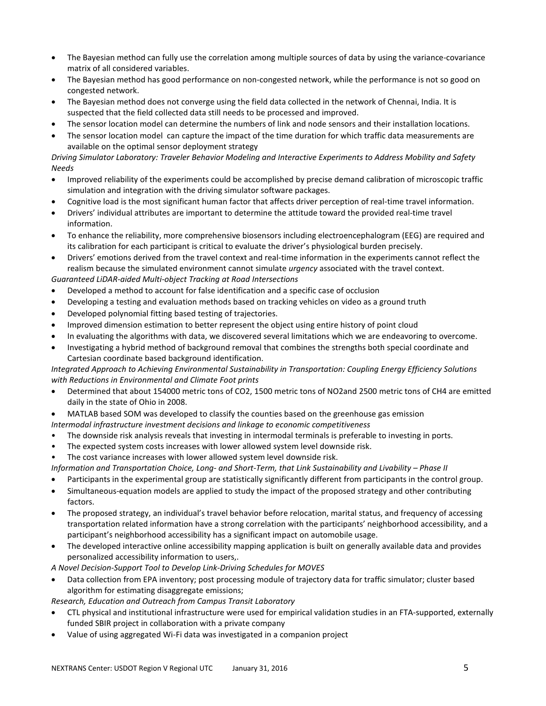- The Bayesian method can fully use the correlation among multiple sources of data by using the variance-covariance matrix of all considered variables.
- The Bayesian method has good performance on non-congested network, while the performance is not so good on congested network.
- The Bayesian method does not converge using the field data collected in the network of Chennai, India. It is suspected that the field collected data still needs to be processed and improved.
- The sensor location model can determine the numbers of link and node sensors and their installation locations.
- The sensor location model can capture the impact of the time duration for which traffic data measurements are available on the optimal sensor deployment strategy

*Driving Simulator Laboratory: Traveler Behavior Modeling and Interactive Experiments to Address Mobility and Safety Needs*

- Improved reliability of the experiments could be accomplished by precise demand calibration of microscopic traffic simulation and integration with the driving simulator software packages.
- Cognitive load is the most significant human factor that affects driver perception of real-time travel information.
- Drivers' individual attributes are important to determine the attitude toward the provided real-time travel information.
- To enhance the reliability, more comprehensive biosensors including electroencephalogram (EEG) are required and its calibration for each participant is critical to evaluate the driver's physiological burden precisely.
- Drivers' emotions derived from the travel context and real-time information in the experiments cannot reflect the realism because the simulated environment cannot simulate *urgency* associated with the travel context. *Guaranteed LiDAR-aided Multi-object Tracking at Road Intersections*
- Developed a method to account for false identification and a specific case of occlusion
- Developing a testing and evaluation methods based on tracking vehicles on video as a ground truth
- Developed polynomial fitting based testing of trajectories.
- Improved dimension estimation to better represent the object using entire history of point cloud
- In evaluating the algorithms with data, we discovered several limitations which we are endeavoring to overcome.
- Investigating a hybrid method of background removal that combines the strengths both special coordinate and Cartesian coordinate based background identification.

*Integrated Approach to Achieving Environmental Sustainability in Transportation: Coupling Energy Efficiency Solutions with Reductions in Environmental and Climate Foot prints*

- Determined that about 154000 metric tons of CO2, 1500 metric tons of NO2and 2500 metric tons of CH4 are emitted daily in the state of Ohio in 2008.
- MATLAB based SOM was developed to classify the counties based on the greenhouse gas emission *Intermodal infrastructure investment decisions and linkage to economic competitiveness*
- The downside risk analysis reveals that investing in intermodal terminals is preferable to investing in ports.
- The expected system costs increases with lower allowed system level downside risk.
- The cost variance increases with lower allowed system level downside risk.

*Information and Transportation Choice, Long- and Short-Term, that Link Sustainability and Livability – Phase II*

- Participants in the experimental group are statistically significantly different from participants in the control group.
- Simultaneous-equation models are applied to study the impact of the proposed strategy and other contributing factors.
- The proposed strategy, an individual's travel behavior before relocation, marital status, and frequency of accessing transportation related information have a strong correlation with the participants' neighborhood accessibility, and a participant's neighborhood accessibility has a significant impact on automobile usage.
- The developed interactive online accessibility mapping application is built on generally available data and provides personalized accessibility information to users,.
- *A Novel Decision-Support Tool to Develop Link-Driving Schedules for MOVES*
- Data collection from EPA inventory; post processing module of trajectory data for traffic simulator; cluster based algorithm for estimating disaggregate emissions;

*Research, Education and Outreach from Campus Transit Laboratory*

- CTL physical and institutional infrastructure were used for empirical validation studies in an FTA-supported, externally funded SBIR project in collaboration with a private company
- Value of using aggregated Wi-Fi data was investigated in a companion project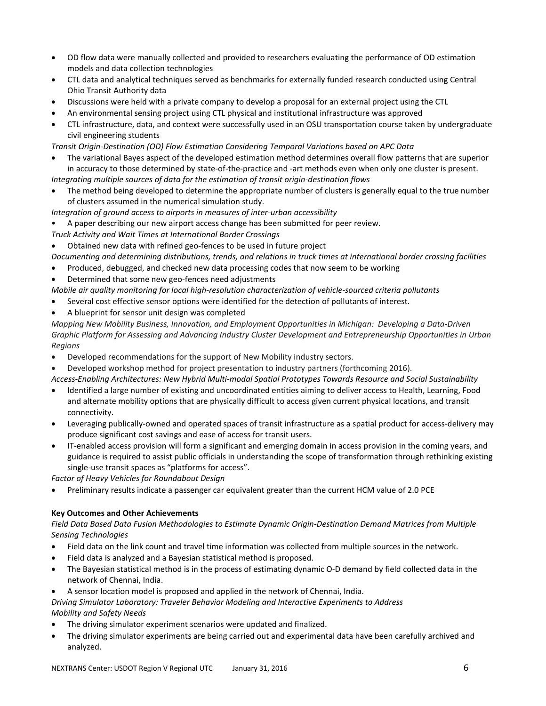- OD flow data were manually collected and provided to researchers evaluating the performance of OD estimation models and data collection technologies
- CTL data and analytical techniques served as benchmarks for externally funded research conducted using Central Ohio Transit Authority data
- Discussions were held with a private company to develop a proposal for an external project using the CTL
- An environmental sensing project using CTL physical and institutional infrastructure was approved
- CTL infrastructure, data, and context were successfully used in an OSU transportation course taken by undergraduate civil engineering students
- *Transit Origin-Destination (OD) Flow Estimation Considering Temporal Variations based on APC Data*
- The variational Bayes aspect of the developed estimation method determines overall flow patterns that are superior in accuracy to those determined by state-of-the-practice and -art methods even when only one cluster is present. *Integrating multiple sources of data for the estimation of transit origin-destination flows*
- The method being developed to determine the appropriate number of clusters is generally equal to the true number of clusters assumed in the numerical simulation study.
- *Integration of ground access to airports in measures of inter-urban accessibility*
- A paper describing our new airport access change has been submitted for peer review.
- *Truck Activity and Wait Times at International Border Crossings*
- Obtained new data with refined geo-fences to be used in future project

*Documenting and determining distributions, trends, and relations in truck times at international border crossing facilities*

- Produced, debugged, and checked new data processing codes that now seem to be working
- Determined that some new geo-fences need adjustments

*Mobile air quality monitoring for local high-resolution characterization of vehicle-sourced criteria pollutants*

- Several cost effective sensor options were identified for the detection of pollutants of interest.
- A blueprint for sensor unit design was completed

*Mapping New Mobility Business, Innovation, and Employment Opportunities in Michigan: Developing a Data-Driven Graphic Platform for Assessing and Advancing Industry Cluster Development and Entrepreneurship Opportunities in Urban Regions*

- Developed recommendations for the support of New Mobility industry sectors.
- Developed workshop method for project presentation to industry partners (forthcoming 2016).

*Access-Enabling Architectures: New Hybrid Multi-modal Spatial Prototypes Towards Resource and Social Sustainability*

- Identified a large number of existing and uncoordinated entities aiming to deliver access to Health, Learning, Food and alternate mobility options that are physically difficult to access given current physical locations, and transit connectivity.
- Leveraging publically-owned and operated spaces of transit infrastructure as a spatial product for access-delivery may produce significant cost savings and ease of access for transit users.
- IT-enabled access provision will form a significant and emerging domain in access provision in the coming years, and guidance is required to assist public officials in understanding the scope of transformation through rethinking existing single-use transit spaces as "platforms for access".

*Factor of Heavy Vehicles for Roundabout Design*

• Preliminary results indicate a passenger car equivalent greater than the current HCM value of 2.0 PCE

#### **Key Outcomes and Other Achievements**

*Field Data Based Data Fusion Methodologies to Estimate Dynamic Origin-Destination Demand Matrices from Multiple Sensing Technologies*

- Field data on the link count and travel time information was collected from multiple sources in the network.
- Field data is analyzed and a Bayesian statistical method is proposed.
- The Bayesian statistical method is in the process of estimating dynamic O-D demand by field collected data in the network of Chennai, India.
- A sensor location model is proposed and applied in the network of Chennai, India.

*Driving Simulator Laboratory: Traveler Behavior Modeling and Interactive Experiments to Address Mobility and Safety Needs*

- The driving simulator experiment scenarios were updated and finalized.
- The driving simulator experiments are being carried out and experimental data have been carefully archived and analyzed.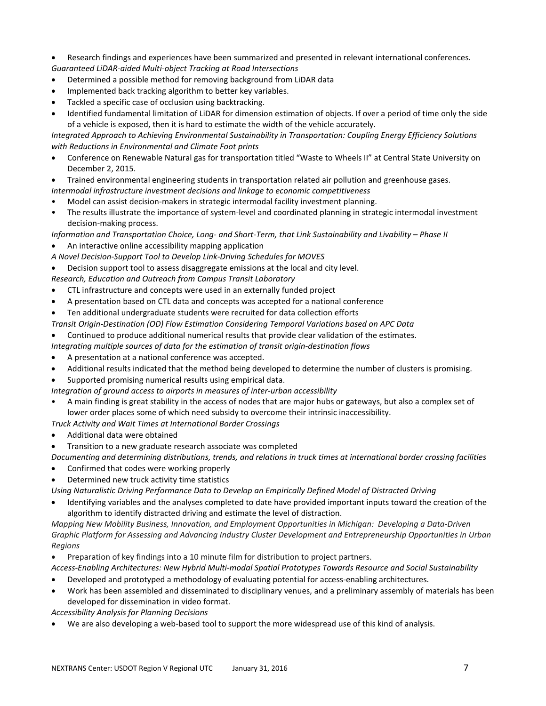- Research findings and experiences have been summarized and presented in relevant international conferences. *Guaranteed LiDAR-aided Multi-object Tracking at Road Intersections*
- Determined a possible method for removing background from LiDAR data
- Implemented back tracking algorithm to better key variables.
- Tackled a specific case of occlusion using backtracking.
- Identified fundamental limitation of LiDAR for dimension estimation of objects. If over a period of time only the side of a vehicle is exposed, then it is hard to estimate the width of the vehicle accurately.

*Integrated Approach to Achieving Environmental Sustainability in Transportation: Coupling Energy Efficiency Solutions with Reductions in Environmental and Climate Foot prints*

- Conference on Renewable Natural gas for transportation titled "Waste to Wheels II" at Central State University on December 2, 2015.
- Trained environmental engineering students in transportation related air pollution and greenhouse gases.
- *Intermodal infrastructure investment decisions and linkage to economic competitiveness*
- Model can assist decision-makers in strategic intermodal facility investment planning.
- The results illustrate the importance of system-level and coordinated planning in strategic intermodal investment decision-making process.
- *Information and Transportation Choice, Long- and Short-Term, that Link Sustainability and Livability – Phase II*
- An interactive online accessibility mapping application
- *A Novel Decision-Support Tool to Develop Link-Driving Schedules for MOVES*
- Decision support tool to assess disaggregate emissions at the local and city level.
- *Research, Education and Outreach from Campus Transit Laboratory*
- CTL infrastructure and concepts were used in an externally funded project
- A presentation based on CTL data and concepts was accepted for a national conference
- Ten additional undergraduate students were recruited for data collection efforts
- *Transit Origin-Destination (OD) Flow Estimation Considering Temporal Variations based on APC Data*
- Continued to produce additional numerical results that provide clear validation of the estimates.
- *Integrating multiple sources of data for the estimation of transit origin-destination flows*
- A presentation at a national conference was accepted.
- Additional results indicated that the method being developed to determine the number of clusters is promising.
- Supported promising numerical results using empirical data.
- *Integration of ground access to airports in measures of inter-urban accessibility*
- A main finding is great stability in the access of nodes that are major hubs or gateways, but also a complex set of lower order places some of which need subsidy to overcome their intrinsic inaccessibility.
- *Truck Activity and Wait Times at International Border Crossings*
- Additional data were obtained
- Transition to a new graduate research associate was completed

*Documenting and determining distributions, trends, and relations in truck times at international border crossing facilities* • Confirmed that codes were working properly

• Determined new truck activity time statistics

*Using Naturalistic Driving Performance Data to Develop an Empirically Defined Model of Distracted Driving*

• Identifying variables and the analyses completed to date have provided important inputs toward the creation of the algorithm to identify distracted driving and estimate the level of distraction.

*Mapping New Mobility Business, Innovation, and Employment Opportunities in Michigan: Developing a Data-Driven Graphic Platform for Assessing and Advancing Industry Cluster Development and Entrepreneurship Opportunities in Urban Regions*

• Preparation of key findings into a 10 minute film for distribution to project partners.

*Access-Enabling Architectures: New Hybrid Multi-modal Spatial Prototypes Towards Resource and Social Sustainability*

- Developed and prototyped a methodology of evaluating potential for access-enabling architectures.
- Work has been assembled and disseminated to disciplinary venues, and a preliminary assembly of materials has been developed for dissemination in video format.

*Accessibility Analysis for Planning Decisions*

• We are also developing a web-based tool to support the more widespread use of this kind of analysis.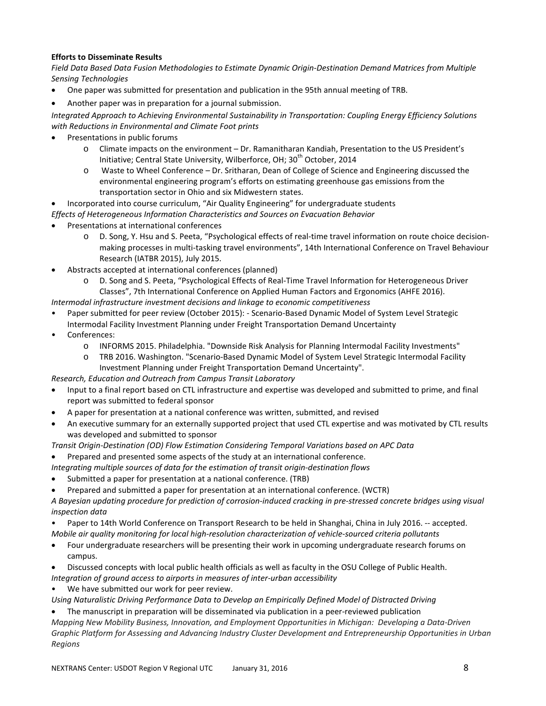## **Efforts to Disseminate Results**

*Field Data Based Data Fusion Methodologies to Estimate Dynamic Origin-Destination Demand Matrices from Multiple Sensing Technologies*

- One paper was submitted for presentation and publication in the 95th annual meeting of TRB.
- Another paper was in preparation for a journal submission.

*Integrated Approach to Achieving Environmental Sustainability in Transportation: Coupling Energy Efficiency Solutions with Reductions in Environmental and Climate Foot prints*

- Presentations in public forums
	- o Climate impacts on the environment Dr. Ramanitharan Kandiah, Presentation to the US President's Initiative; Central State University, Wilberforce, OH; 30<sup>th</sup> October, 2014
	- o Waste to Wheel Conference Dr. Sritharan, Dean of College of Science and Engineering discussed the environmental engineering program's efforts on estimating greenhouse gas emissions from the transportation sector in Ohio and six Midwestern states.

• Incorporated into course curriculum, "Air Quality Engineering" for undergraduate students

*Effects of Heterogeneous Information Characteristics and Sources on Evacuation Behavior*

- Presentations at international conferences
	- o D. Song, Y. Hsu and S. Peeta, "Psychological effects of real-time travel information on route choice decisionmaking processes in multi-tasking travel environments", 14th International Conference on Travel Behaviour Research (IATBR 2015), July 2015.
- Abstracts accepted at international conferences (planned)
	- o D. Song and S. Peeta, "Psychological Effects of Real-Time Travel Information for Heterogeneous Driver Classes", 7th International Conference on Applied Human Factors and Ergonomics (AHFE 2016).

*Intermodal infrastructure investment decisions and linkage to economic competitiveness*

- Paper submitted for peer review (October 2015): Scenario-Based Dynamic Model of System Level Strategic
- Intermodal Facility Investment Planning under Freight Transportation Demand Uncertainty
- Conferences:
	- o INFORMS 2015. Philadelphia. "Downside Risk Analysis for Planning Intermodal Facility Investments"
	- o TRB 2016. Washington. "Scenario-Based Dynamic Model of System Level Strategic Intermodal Facility Investment Planning under Freight Transportation Demand Uncertainty".

*Research, Education and Outreach from Campus Transit Laboratory*

- Input to a final report based on CTL infrastructure and expertise was developed and submitted to prime, and final report was submitted to federal sponsor
- A paper for presentation at a national conference was written, submitted, and revised
- An executive summary for an externally supported project that used CTL expertise and was motivated by CTL results was developed and submitted to sponsor

*Transit Origin-Destination (OD) Flow Estimation Considering Temporal Variations based on APC Data*

- Prepared and presented some aspects of the study at an international conference.
- *Integrating multiple sources of data for the estimation of transit origin-destination flows*
- Submitted a paper for presentation at a national conference. (TRB)
- Prepared and submitted a paper for presentation at an international conference. (WCTR)

*A Bayesian updating procedure for prediction of corrosion-induced cracking in pre-stressed concrete bridges using visual inspection data*

- Paper to 14th World Conference on Transport Research to be held in Shanghai, China in July 2016. -- accepted. *Mobile air quality monitoring for local high-resolution characterization of vehicle-sourced criteria pollutants*
- Four undergraduate researchers will be presenting their work in upcoming undergraduate research forums on campus.
- Discussed concepts with local public health officials as well as faculty in the OSU College of Public Health.
- *Integration of ground access to airports in measures of inter-urban accessibility*

We have submitted our work for peer review.

*Using Naturalistic Driving Performance Data to Develop an Empirically Defined Model of Distracted Driving*

• The manuscript in preparation will be disseminated via publication in a peer-reviewed publication *Mapping New Mobility Business, Innovation, and Employment Opportunities in Michigan: Developing a Data-Driven Graphic Platform for Assessing and Advancing Industry Cluster Development and Entrepreneurship Opportunities in Urban Regions*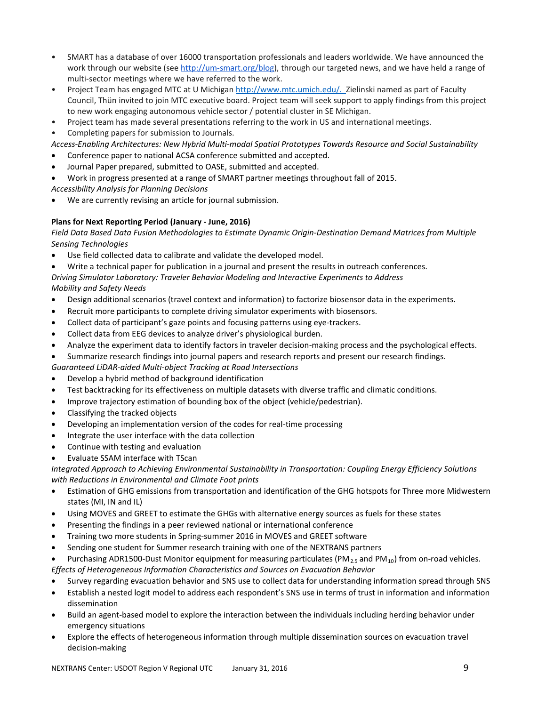- SMART has a database of over 16000 transportation professionals and leaders worldwide. We have announced the work through our website (see [http://um-smart.org/blog\)](http://um-smart.org/blog), through our targeted news, and we have held a range of multi-sector meetings where we have referred to the work.
- Project Team has engaged MTC at U Michiga[n http://www.mtc.umich.edu/.](http://www.mtc.umich.edu/) Zielinski named as part of Faculty Council, Thün invited to join MTC executive board. Project team will seek support to apply findings from this project to new work engaging autonomous vehicle sector / potential cluster in SE Michigan.
- Project team has made several presentations referring to the work in US and international meetings.
- Completing papers for submission to Journals.

*Access-Enabling Architectures: New Hybrid Multi-modal Spatial Prototypes Towards Resource and Social Sustainability*

- Conference paper to national ACSA conference submitted and accepted.
- Journal Paper prepared, submitted to OASE, submitted and accepted.
- Work in progress presented at a range of SMART partner meetings throughout fall of 2015.
- *Accessibility Analysis for Planning Decisions*
- We are currently revising an article for journal submission.

## **Plans for Next Reporting Period (January - June, 2016)**

*Field Data Based Data Fusion Methodologies to Estimate Dynamic Origin-Destination Demand Matrices from Multiple Sensing Technologies*

- Use field collected data to calibrate and validate the developed model.
- Write a technical paper for publication in a journal and present the results in outreach conferences.

*Driving Simulator Laboratory: Traveler Behavior Modeling and Interactive Experiments to Address Mobility and Safety Needs*

- Design additional scenarios (travel context and information) to factorize biosensor data in the experiments.
- Recruit more participants to complete driving simulator experiments with biosensors.
- Collect data of participant's gaze points and focusing patterns using eye-trackers.
- Collect data from EEG devices to analyze driver's physiological burden.
- Analyze the experiment data to identify factors in traveler decision-making process and the psychological effects.
- Summarize research findings into journal papers and research reports and present our research findings.
- *Guaranteed LiDAR-aided Multi-object Tracking at Road Intersections*
- Develop a hybrid method of background identification
- Test backtracking for its effectiveness on multiple datasets with diverse traffic and climatic conditions.
- Improve trajectory estimation of bounding box of the object (vehicle/pedestrian).
- Classifying the tracked objects
- Developing an implementation version of the codes for real-time processing
- Integrate the user interface with the data collection
- Continue with testing and evaluation
- Evaluate SSAM interface with TScan

*Integrated Approach to Achieving Environmental Sustainability in Transportation: Coupling Energy Efficiency Solutions with Reductions in Environmental and Climate Foot prints*

- Estimation of GHG emissions from transportation and identification of the GHG hotspots for Three more Midwestern states (MI, IN and IL)
- Using MOVES and GREET to estimate the GHGs with alternative energy sources as fuels for these states
- Presenting the findings in a peer reviewed national or international conference
- Training two more students in Spring-summer 2016 in MOVES and GREET software
- Sending one student for Summer research training with one of the NEXTRANS partners

Purchasing ADR1500-Dust Monitor equipment for measuring particulates ( $PM_{2.5}$  and  $PM_{10}$ ) from on-road vehicles.

- *Effects of Heterogeneous Information Characteristics and Sources on Evacuation Behavior*
- Survey regarding evacuation behavior and SNS use to collect data for understanding information spread through SNS
- Establish a nested logit model to address each respondent's SNS use in terms of trust in information and information dissemination
- Build an agent-based model to explore the interaction between the individuals including herding behavior under emergency situations
- Explore the effects of heterogeneous information through multiple dissemination sources on evacuation travel decision-making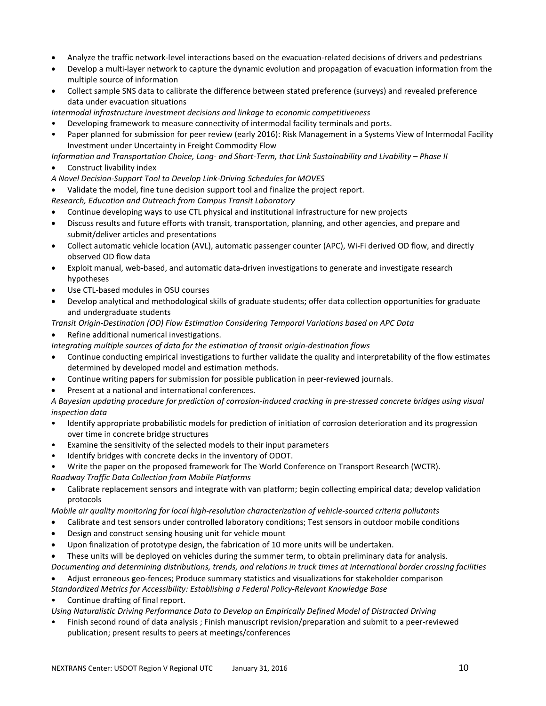- Analyze the traffic network-level interactions based on the evacuation-related decisions of drivers and pedestrians
- Develop a multi-layer network to capture the dynamic evolution and propagation of evacuation information from the multiple source of information
- Collect sample SNS data to calibrate the difference between stated preference (surveys) and revealed preference data under evacuation situations

*Intermodal infrastructure investment decisions and linkage to economic competitiveness*

- Developing framework to measure connectivity of intermodal facility terminals and ports.
- Paper planned for submission for peer review (early 2016): Risk Management in a Systems View of Intermodal Facility Investment under Uncertainty in Freight Commodity Flow

*Information and Transportation Choice, Long- and Short-Term, that Link Sustainability and Livability – Phase II*

- Construct livability index
- *A Novel Decision-Support Tool to Develop Link-Driving Schedules for MOVES*
- Validate the model, fine tune decision support tool and finalize the project report.

*Research, Education and Outreach from Campus Transit Laboratory*

- Continue developing ways to use CTL physical and institutional infrastructure for new projects
- Discuss results and future efforts with transit, transportation, planning, and other agencies, and prepare and submit/deliver articles and presentations
- Collect automatic vehicle location (AVL), automatic passenger counter (APC), Wi-Fi derived OD flow, and directly observed OD flow data
- Exploit manual, web-based, and automatic data-driven investigations to generate and investigate research hypotheses
- Use CTL-based modules in OSU courses
- Develop analytical and methodological skills of graduate students; offer data collection opportunities for graduate and undergraduate students
- *Transit Origin-Destination (OD) Flow Estimation Considering Temporal Variations based on APC Data*

### • Refine additional numerical investigations.

*Integrating multiple sources of data for the estimation of transit origin-destination flows*

- Continue conducting empirical investigations to further validate the quality and interpretability of the flow estimates determined by developed model and estimation methods.
- Continue writing papers for submission for possible publication in peer-reviewed journals.
- Present at a national and international conferences.

*A Bayesian updating procedure for prediction of corrosion-induced cracking in pre-stressed concrete bridges using visual inspection data*

- Identify appropriate probabilistic models for prediction of initiation of corrosion deterioration and its progression over time in concrete bridge structures
- Examine the sensitivity of the selected models to their input parameters
- Identify bridges with concrete decks in the inventory of ODOT.
- Write the paper on the proposed framework for The World Conference on Transport Research (WCTR). *Roadway Traffic Data Collection from Mobile Platforms*
- Calibrate replacement sensors and integrate with van platform; begin collecting empirical data; develop validation protocols

*Mobile air quality monitoring for local high-resolution characterization of vehicle-sourced criteria pollutants*

- Calibrate and test sensors under controlled laboratory conditions; Test sensors in outdoor mobile conditions
- Design and construct sensing housing unit for vehicle mount
- Upon finalization of prototype design, the fabrication of 10 more units will be undertaken.
- These units will be deployed on vehicles during the summer term, to obtain preliminary data for analysis. *Documenting and determining distributions, trends, and relations in truck times at international border crossing facilities*
- Adjust erroneous geo-fences; Produce summary statistics and visualizations for stakeholder comparison
- *Standardized Metrics for Accessibility: Establishing a Federal Policy-Relevant Knowledge Base*

• Continue drafting of final report.

*Using Naturalistic Driving Performance Data to Develop an Empirically Defined Model of Distracted Driving*

• Finish second round of data analysis ; Finish manuscript revision/preparation and submit to a peer-reviewed publication; present results to peers at meetings/conferences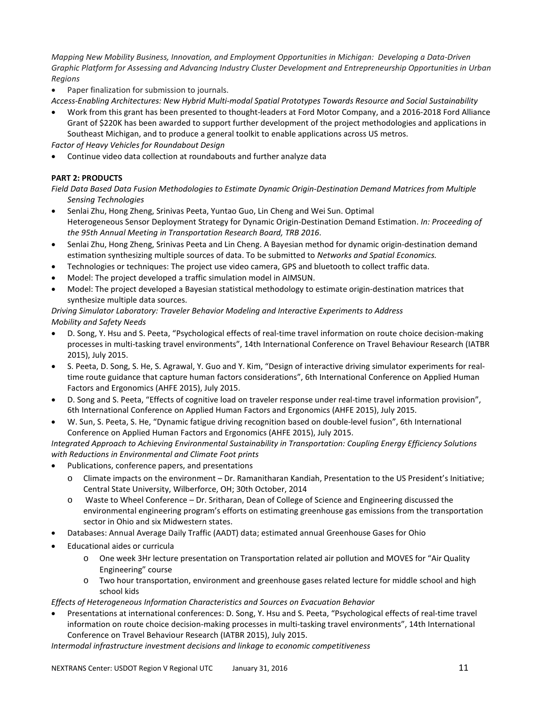*Mapping New Mobility Business, Innovation, and Employment Opportunities in Michigan: Developing a Data-Driven Graphic Platform for Assessing and Advancing Industry Cluster Development and Entrepreneurship Opportunities in Urban Regions*

- Paper finalization for submission to journals.
- *Access-Enabling Architectures: New Hybrid Multi-modal Spatial Prototypes Towards Resource and Social Sustainability*
- Work from this grant has been presented to thought-leaders at Ford Motor Company, and a 2016-2018 Ford Alliance Grant of \$220K has been awarded to support further development of the project methodologies and applications in Southeast Michigan, and to produce a general toolkit to enable applications across US metros.

*Factor of Heavy Vehicles for Roundabout Design*

• Continue video data collection at roundabouts and further analyze data

## **PART 2: PRODUCTS**

*Field Data Based Data Fusion Methodologies to Estimate Dynamic Origin-Destination Demand Matrices from Multiple Sensing Technologies*

- Senlai Zhu, Hong Zheng, Srinivas Peeta, Yuntao Guo, Lin Cheng and Wei Sun. Optimal Heterogeneous Sensor Deployment Strategy for Dynamic Origin-Destination Demand Estimation. *In: Proceeding of the 95th Annual Meeting in Transportation Research Board, TRB 2016*.
- Senlai Zhu, Hong Zheng, Srinivas Peeta and Lin Cheng. A Bayesian method for dynamic origin-destination demand estimation synthesizing multiple sources of data. To be submitted to *Networks and Spatial Economics.*
- Technologies or techniques: The project use video camera, GPS and bluetooth to collect traffic data.
- Model: The project developed a traffic simulation model in AIMSUN.
- Model: The project developed a Bayesian statistical methodology to estimate origin-destination matrices that synthesize multiple data sources.

#### *Driving Simulator Laboratory: Traveler Behavior Modeling and Interactive Experiments to Address Mobility and Safety Needs*

- D. Song, Y. Hsu and S. Peeta, "Psychological effects of real-time travel information on route choice decision-making processes in multi-tasking travel environments", 14th International Conference on Travel Behaviour Research (IATBR 2015), July 2015.
- S. Peeta, D. Song, S. He, S. Agrawal, Y. Guo and Y. Kim, "Design of interactive driving simulator experiments for realtime route guidance that capture human factors considerations", 6th International Conference on Applied Human Factors and Ergonomics (AHFE 2015), July 2015.
- D. Song and S. Peeta, "Effects of cognitive load on traveler response under real-time travel information provision", 6th International Conference on Applied Human Factors and Ergonomics (AHFE 2015), July 2015.
- W. Sun, S. Peeta, S. He, "Dynamic fatigue driving recognition based on double-level fusion", 6th International Conference on Applied Human Factors and Ergonomics (AHFE 2015), July 2015.

*Integrated Approach to Achieving Environmental Sustainability in Transportation: Coupling Energy Efficiency Solutions with Reductions in Environmental and Climate Foot prints*

- Publications, conference papers, and presentations
	- o Climate impacts on the environment Dr. Ramanitharan Kandiah, Presentation to the US President's Initiative; Central State University, Wilberforce, OH; 30th October, 2014
	- o Waste to Wheel Conference Dr. Sritharan, Dean of College of Science and Engineering discussed the environmental engineering program's efforts on estimating greenhouse gas emissions from the transportation sector in Ohio and six Midwestern states.
- Databases: Annual Average Daily Traffic (AADT) data; estimated annual Greenhouse Gases for Ohio
- Educational aides or curricula
	- o One week 3Hr lecture presentation on Transportation related air pollution and MOVES for "Air Quality Engineering" course
	- o Two hour transportation, environment and greenhouse gases related lecture for middle school and high school kids

*Effects of Heterogeneous Information Characteristics and Sources on Evacuation Behavior*

• Presentations at international conferences: D. Song, Y. Hsu and S. Peeta, "Psychological effects of real-time travel information on route choice decision-making processes in multi-tasking travel environments", 14th International Conference on Travel Behaviour Research (IATBR 2015), July 2015.

*Intermodal infrastructure investment decisions and linkage to economic competitiveness*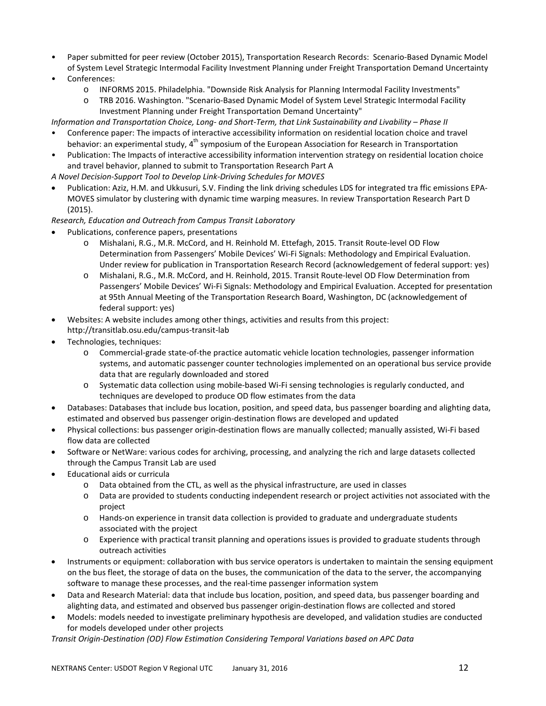- Paper submitted for peer review (October 2015), Transportation Research Records: Scenario-Based Dynamic Model of System Level Strategic Intermodal Facility Investment Planning under Freight Transportation Demand Uncertainty
- Conferences:
	- o INFORMS 2015. Philadelphia. "Downside Risk Analysis for Planning Intermodal Facility Investments"
	- o TRB 2016. Washington. "Scenario-Based Dynamic Model of System Level Strategic Intermodal Facility Investment Planning under Freight Transportation Demand Uncertainty"

*Information and Transportation Choice, Long- and Short-Term, that Link Sustainability and Livability – Phase II*

- Conference paper: The impacts of interactive accessibility information on residential location choice and travel behavior: an experimental study,  $4<sup>th</sup>$  symposium of the European Association for Research in Transportation
- Publication: The Impacts of interactive accessibility information intervention strategy on residential location choice and travel behavior, planned to submit to Transportation Research Part A
- *A Novel Decision-Support Tool to Develop Link-Driving Schedules for MOVES*
- Publication: Aziz, H.M. and Ukkusuri, S.V. Finding the link driving schedules LDS for integrated tra ffic emissions EPA-MOVES simulator by clustering with dynamic time warping measures. In review Transportation Research Part D (2015).
- *Research, Education and Outreach from Campus Transit Laboratory*
- Publications, conference papers, presentations
	- o Mishalani, R.G., M.R. McCord, and H. Reinhold M. Ettefagh, 2015. Transit Route-level OD Flow Determination from Passengers' Mobile Devices' Wi-Fi Signals: Methodology and Empirical Evaluation. Under review for publication in Transportation Research Record (acknowledgement of federal support: yes)
	- o Mishalani, R.G., M.R. McCord, and H. Reinhold, 2015. Transit Route-level OD Flow Determination from Passengers' Mobile Devices' Wi-Fi Signals: Methodology and Empirical Evaluation. Accepted for presentation at 95th Annual Meeting of the Transportation Research Board, Washington, DC (acknowledgement of federal support: yes)
- Websites: A website includes among other things, activities and results from this project: http://transitlab.osu.edu/campus-transit-lab
- Technologies, techniques:
	- o Commercial-grade state-of-the practice automatic vehicle location technologies, passenger information systems, and automatic passenger counter technologies implemented on an operational bus service provide data that are regularly downloaded and stored
	- o Systematic data collection using mobile-based Wi-Fi sensing technologies is regularly conducted, and techniques are developed to produce OD flow estimates from the data
- Databases: Databases that include bus location, position, and speed data, bus passenger boarding and alighting data, estimated and observed bus passenger origin-destination flows are developed and updated
- Physical collections: bus passenger origin-destination flows are manually collected; manually assisted, Wi-Fi based flow data are collected
- Software or NetWare: various codes for archiving, processing, and analyzing the rich and large datasets collected through the Campus Transit Lab are used
- Educational aids or curricula
	- o Data obtained from the CTL, as well as the physical infrastructure, are used in classes
	- o Data are provided to students conducting independent research or project activities not associated with the project
	- o Hands-on experience in transit data collection is provided to graduate and undergraduate students associated with the project
	- o Experience with practical transit planning and operations issues is provided to graduate students through outreach activities
- Instruments or equipment: collaboration with bus service operators is undertaken to maintain the sensing equipment on the bus fleet, the storage of data on the buses, the communication of the data to the server, the accompanying software to manage these processes, and the real-time passenger information system
- Data and Research Material: data that include bus location, position, and speed data, bus passenger boarding and alighting data, and estimated and observed bus passenger origin-destination flows are collected and stored
- Models: models needed to investigate preliminary hypothesis are developed, and validation studies are conducted for models developed under other projects

*Transit Origin-Destination (OD) Flow Estimation Considering Temporal Variations based on APC Data*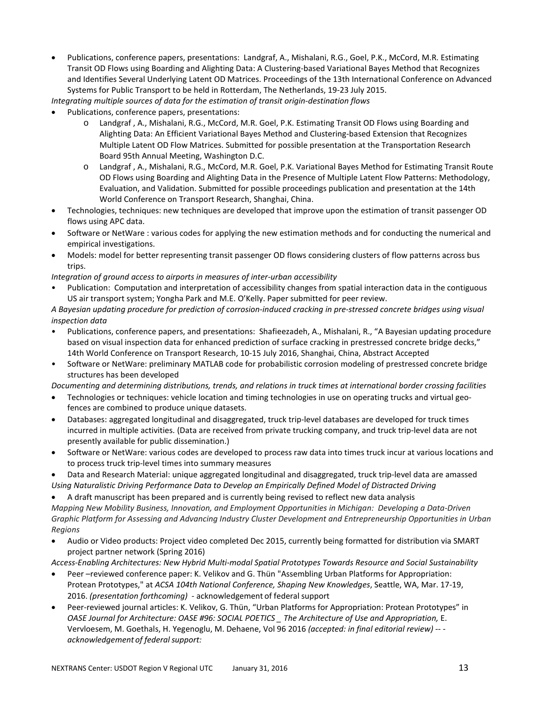• Publications, conference papers, presentations: Landgraf, A., Mishalani, R.G., Goel, P.K., McCord, M.R. Estimating Transit OD Flows using Boarding and Alighting Data: A Clustering-based Variational Bayes Method that Recognizes and Identifies Several Underlying Latent OD Matrices. Proceedings of the 13th International Conference on Advanced Systems for Public Transport to be held in Rotterdam, The Netherlands, 19-23 July 2015.

*Integrating multiple sources of data for the estimation of transit origin-destination flows*

- Publications, conference papers, presentations:
	- o Landgraf , A., Mishalani, R.G., McCord, M.R. Goel, P.K. Estimating Transit OD Flows using Boarding and Alighting Data: An Efficient Variational Bayes Method and Clustering-based Extension that Recognizes Multiple Latent OD Flow Matrices. Submitted for possible presentation at the Transportation Research Board 95th Annual Meeting, Washington D.C.
	- o Landgraf , A., Mishalani, R.G., McCord, M.R. Goel, P.K. Variational Bayes Method for Estimating Transit Route OD Flows using Boarding and Alighting Data in the Presence of Multiple Latent Flow Patterns: Methodology, Evaluation, and Validation. Submitted for possible proceedings publication and presentation at the 14th World Conference on Transport Research, Shanghai, China.
- Technologies, techniques: new techniques are developed that improve upon the estimation of transit passenger OD flows using APC data.
- Software or NetWare : various codes for applying the new estimation methods and for conducting the numerical and empirical investigations.
- Models: model for better representing transit passenger OD flows considering clusters of flow patterns across bus trips.

*Integration of ground access to airports in measures of inter-urban accessibility*

• Publication: Computation and interpretation of accessibility changes from spatial interaction data in the contiguous US air transport system; Yongha Park and M.E. O'Kelly. Paper submitted for peer review.

*A Bayesian updating procedure for prediction of corrosion-induced cracking in pre-stressed concrete bridges using visual inspection data*

- Publications, conference papers, and presentations: Shafieezadeh, A., Mishalani, R., "A Bayesian updating procedure based on visual inspection data for enhanced prediction of surface cracking in prestressed concrete bridge decks," 14th World Conference on Transport Research, 10-15 July 2016, Shanghai, China, Abstract Accepted
- Software or NetWare: preliminary MATLAB code for probabilistic corrosion modeling of prestressed concrete bridge structures has been developed

*Documenting and determining distributions, trends, and relations in truck times at international border crossing facilities*

- Technologies or techniques: vehicle location and timing technologies in use on operating trucks and virtual geofences are combined to produce unique datasets.
- Databases: aggregated longitudinal and disaggregated, truck trip-level databases are developed for truck times incurred in multiple activities. (Data are received from private trucking company, and truck trip-level data are not presently available for public dissemination.)
- Software or NetWare: various codes are developed to process raw data into times truck incur at various locations and to process truck trip-level times into summary measures
- Data and Research Material: unique aggregated longitudinal and disaggregated, truck trip-level data are amassed *Using Naturalistic Driving Performance Data to Develop an Empirically Defined Model of Distracted Driving*

• A draft manuscript has been prepared and is currently being revised to reflect new data analysis *Mapping New Mobility Business, Innovation, and Employment Opportunities in Michigan: Developing a Data-Driven Graphic Platform for Assessing and Advancing Industry Cluster Development and Entrepreneurship Opportunities in Urban Regions*

• Audio or Video products: Project video completed Dec 2015, currently being formatted for distribution via SMART project partner network (Spring 2016)

*Access-Enabling Architectures: New Hybrid Multi-modal Spatial Prototypes Towards Resource and Social Sustainability*

- Peer –reviewed conference paper: K. Velikov and G. Thün "Assembling Urban Platforms for Appropriation: Protean Prototypes," at *ACSA 104th National Conference, Shaping New Knowledges*, Seattle, WA, Mar. 17-19, 2016. *(presentation forthcoming)* - acknowledgement of federal support
- Peer-reviewed journal articles: K. Velikov, G. Thün, "Urban Platforms for Appropriation: Protean Prototypes" in *OASE Journal for Architecture: OASE #96: SOCIAL POETICS \_ The Architecture of Use and Appropriation, E.* Vervloesem, M. Goethals, H. Yegenoglu, M. Dehaene, Vol 96 2016 *(accepted: in final editorial review) -- acknowledgement of federalsupport:*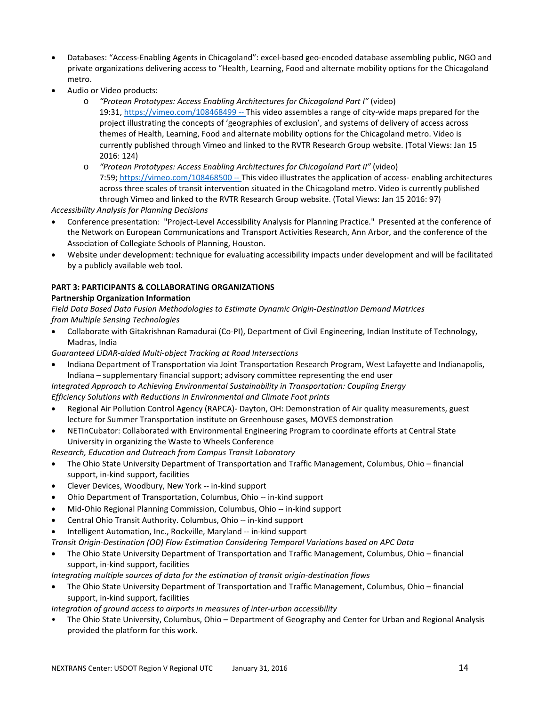- Databases: "Access-Enabling Agents in Chicagoland": excel-based geo-encoded database assembling public, NGO and private organizations delivering access to "Health, Learning, Food and alternate mobility options for the Chicagoland metro.
- Audio or Video products:
	- o *"Protean Prototypes: Access Enabling Architectures for Chicagoland Part I"* (video) 19:31,<https://vimeo.com/108468499> -- This video assembles a range of city-wide maps prepared for the project illustrating the concepts of 'geographies of exclusion', and systems of delivery of access across themes of Health, Learning, Food and alternate mobility options for the Chicagoland metro. Video is currently published through Vimeo and linked to the RVTR Research Group website. (Total Views: Jan 15 2016: 124)
	- o *"Protean Prototypes: Access Enabling Architectures for Chicagoland Part II"* (video) 7:59[; https://vimeo.com/108468500](https://vimeo.com/108468500) -- This video illustrates the application of access- enabling architectures across three scales of transit intervention situated in the Chicagoland metro. Video is currently published through Vimeo and linked to the RVTR Research Group website. (Total Views: Jan 15 2016: 97)

*Accessibility Analysis for Planning Decisions*

- Conference presentation: "Project-Level Accessibility Analysis for Planning Practice." Presented at the conference of the Network on European Communications and Transport Activities Research, Ann Arbor, and the conference of the Association of Collegiate Schools of Planning, Houston.
- Website under development: technique for evaluating accessibility impacts under development and will be facilitated by a publicly available web tool.

## **PART 3: PARTICIPANTS & COLLABORATING ORGANIZATIONS**

## **Partnership Organization Information**

*Field Data Based Data Fusion Methodologies to Estimate Dynamic Origin-Destination Demand Matrices from Multiple Sensing Technologies*

• Collaborate with Gitakrishnan Ramadurai (Co-PI), Department of Civil Engineering, Indian Institute of Technology, Madras, India

*Guaranteed LiDAR-aided Multi-object Tracking at Road Intersections*

• Indiana Department of Transportation via Joint Transportation Research Program, West Lafayette and Indianapolis, Indiana – supplementary financial support; advisory committee representing the end user

*Integrated Approach to Achieving Environmental Sustainability in Transportation: Coupling Energy Efficiency Solutions with Reductions in Environmental and Climate Foot prints*

- Regional Air Pollution Control Agency (RAPCA)- Dayton, OH: Demonstration of Air quality measurements, guest lecture for Summer Transportation institute on Greenhouse gases, MOVES demonstration
- NETInCubator: Collaborated with Environmental Engineering Program to coordinate efforts at Central State University in organizing the Waste to Wheels Conference

*Research, Education and Outreach from Campus Transit Laboratory*

- The Ohio State University Department of Transportation and Traffic Management, Columbus, Ohio financial support, in-kind support, facilities
- Clever Devices, Woodbury, New York -- in-kind support
- Ohio Department of Transportation, Columbus, Ohio -- in-kind support
- Mid-Ohio Regional Planning Commission, Columbus, Ohio -- in-kind support
- Central Ohio Transit Authority. Columbus, Ohio -- in-kind support
- Intelligent Automation, Inc., Rockville, Maryland -- in-kind support

*Transit Origin-Destination (OD) Flow Estimation Considering Temporal Variations based on APC Data*

- The Ohio State University Department of Transportation and Traffic Management, Columbus, Ohio financial support, in-kind support, facilities
- *Integrating multiple sources of data for the estimation of transit origin-destination flows*
- The Ohio State University Department of Transportation and Traffic Management, Columbus, Ohio financial support, in-kind support, facilities

### *Integration of ground access to airports in measures of inter-urban accessibility*

• The Ohio State University, Columbus, Ohio – Department of Geography and Center for Urban and Regional Analysis provided the platform for this work.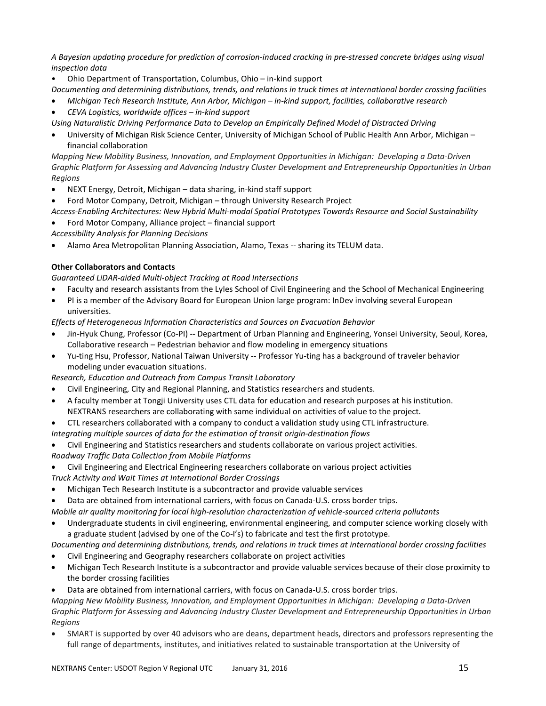*A Bayesian updating procedure for prediction of corrosion-induced cracking in pre-stressed concrete bridges using visual inspection data*

• Ohio Department of Transportation, Columbus, Ohio – in-kind support

*Documenting and determining distributions, trends, and relations in truck times at international border crossing facilities*

- *Michigan Tech Research Institute, Ann Arbor, Michigan – in-kind support, facilities, collaborative research*
- *CEVA Logistics, worldwide offices – in-kind support*

*Using Naturalistic Driving Performance Data to Develop an Empirically Defined Model of Distracted Driving*

• University of Michigan Risk Science Center, University of Michigan School of Public Health Ann Arbor, Michigan – financial collaboration

*Mapping New Mobility Business, Innovation, and Employment Opportunities in Michigan: Developing a Data-Driven Graphic Platform for Assessing and Advancing Industry Cluster Development and Entrepreneurship Opportunities in Urban Regions*

- NEXT Energy, Detroit, Michigan data sharing, in-kind staff support
- Ford Motor Company, Detroit, Michigan through University Research Project

*Access-Enabling Architectures: New Hybrid Multi-modal Spatial Prototypes Towards Resource and Social Sustainability*

• Ford Motor Company, Alliance project – financial support

*Accessibility Analysis for Planning Decisions*

• Alamo Area Metropolitan Planning Association, Alamo, Texas -- sharing its TELUM data.

## **Other Collaborators and Contacts**

*Guaranteed LiDAR-aided Multi-object Tracking at Road Intersections*

- Faculty and research assistants from the Lyles School of Civil Engineering and the School of Mechanical Engineering
- PI is a member of the Advisory Board for European Union large program: InDev involving several European universities.

*Effects of Heterogeneous Information Characteristics and Sources on Evacuation Behavior*

- Jin-Hyuk Chung, Professor (Co-PI) -- Department of Urban Planning and Engineering, Yonsei University, Seoul, Korea, Collaborative research – Pedestrian behavior and flow modeling in emergency situations
- Yu-ting Hsu, Professor, National Taiwan University -- Professor Yu-ting has a background of traveler behavior modeling under evacuation situations.

*Research, Education and Outreach from Campus Transit Laboratory*

- Civil Engineering, City and Regional Planning, and Statistics researchers and students.
- A faculty member at Tongji University uses CTL data for education and research purposes at his institution. NEXTRANS researchers are collaborating with same individual on activities of value to the project.
- CTL researchers collaborated with a company to conduct a validation study using CTL infrastructure.

*Integrating multiple sources of data for the estimation of transit origin-destination flows*

- Civil Engineering and Statistics researchers and students collaborate on various project activities.
- *Roadway Traffic Data Collection from Mobile Platforms*
- Civil Engineering and Electrical Engineering researchers collaborate on various project activities
- *Truck Activity and Wait Times at International Border Crossings*
- Michigan Tech Research Institute is a subcontractor and provide valuable services

• Data are obtained from international carriers, with focus on Canada-U.S. cross border trips.

- *Mobile air quality monitoring for local high-resolution characterization of vehicle-sourced criteria pollutants*
- Undergraduate students in civil engineering, environmental engineering, and computer science working closely with a graduate student (advised by one of the Co-I's) to fabricate and test the first prototype.

*Documenting and determining distributions, trends, and relations in truck times at international border crossing facilities*

- Civil Engineering and Geography researchers collaborate on project activities
- Michigan Tech Research Institute is a subcontractor and provide valuable services because of their close proximity to the border crossing facilities
- Data are obtained from international carriers, with focus on Canada-U.S. cross border trips.

*Mapping New Mobility Business, Innovation, and Employment Opportunities in Michigan: Developing a Data-Driven Graphic Platform for Assessing and Advancing Industry Cluster Development and Entrepreneurship Opportunities in Urban Regions*

• SMART is supported by over 40 advisors who are deans, department heads, directors and professors representing the full range of departments, institutes, and initiatives related to sustainable transportation at the University of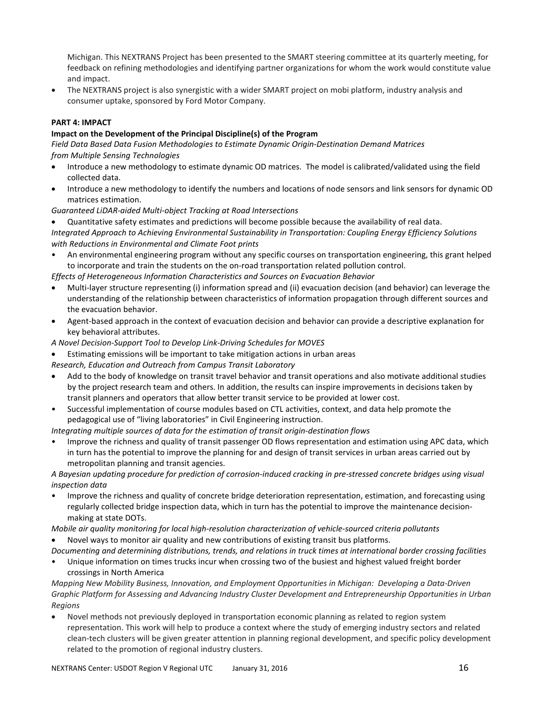Michigan. This NEXTRANS Project has been presented to the SMART steering committee at its quarterly meeting, for feedback on refining methodologies and identifying partner organizations for whom the work would constitute value and impact.

• The NEXTRANS project is also synergistic with a wider SMART project on mobi platform, industry analysis and consumer uptake, sponsored by Ford Motor Company.

### **PART 4: IMPACT**

#### **Impact on the Development of the Principal Discipline(s) of the Program**

*Field Data Based Data Fusion Methodologies to Estimate Dynamic Origin-Destination Demand Matrices from Multiple Sensing Technologies*

- Introduce a new methodology to estimate dynamic OD matrices. The model is calibrated/validated using the field collected data.
- Introduce a new methodology to identify the numbers and locations of node sensors and link sensors for dynamic OD matrices estimation.

*Guaranteed LiDAR-aided Multi-object Tracking at Road Intersections*

• Quantitative safety estimates and predictions will become possible because the availability of real data.

*Integrated Approach to Achieving Environmental Sustainability in Transportation: Coupling Energy Efficiency Solutions with Reductions in Environmental and Climate Foot prints*

• An environmental engineering program without any specific courses on transportation engineering, this grant helped to incorporate and train the students on the on-road transportation related pollution control.

*Effects of Heterogeneous Information Characteristics and Sources on Evacuation Behavior*

- Multi-layer structure representing (i) information spread and (ii) evacuation decision (and behavior) can leverage the understanding of the relationship between characteristics of information propagation through different sources and the evacuation behavior.
- Agent-based approach in the context of evacuation decision and behavior can provide a descriptive explanation for key behavioral attributes.
- *A Novel Decision-Support Tool to Develop Link-Driving Schedules for MOVES*
- Estimating emissions will be important to take mitigation actions in urban areas
- *Research, Education and Outreach from Campus Transit Laboratory*
- Add to the body of knowledge on transit travel behavior and transit operations and also motivate additional studies by the project research team and others. In addition, the results can inspire improvements in decisions taken by transit planners and operators that allow better transit service to be provided at lower cost.
- Successful implementation of course modules based on CTL activities, context, and data help promote the pedagogical use of "living laboratories" in Civil Engineering instruction.

*Integrating multiple sources of data for the estimation of transit origin-destination flows*

• Improve the richness and quality of transit passenger OD flows representation and estimation using APC data, which in turn has the potential to improve the planning for and design of transit services in urban areas carried out by metropolitan planning and transit agencies.

*A Bayesian updating procedure for prediction of corrosion-induced cracking in pre-stressed concrete bridges using visual inspection data*

- Improve the richness and quality of concrete bridge deterioration representation, estimation, and forecasting using regularly collected bridge inspection data, which in turn has the potential to improve the maintenance decisionmaking at state DOTs.
- *Mobile air quality monitoring for local high-resolution characterization of vehicle-sourced criteria pollutants*
- Novel ways to monitor air quality and new contributions of existing transit bus platforms.

*Documenting and determining distributions, trends, and relations in truck times at international border crossing facilities*

• Unique information on times trucks incur when crossing two of the busiest and highest valued freight border crossings in North America

*Mapping New Mobility Business, Innovation, and Employment Opportunities in Michigan: Developing a Data-Driven Graphic Platform for Assessing and Advancing Industry Cluster Development and Entrepreneurship Opportunities in Urban Regions*

• Novel methods not previously deployed in transportation economic planning as related to region system representation. This work will help to produce a context where the study of emerging industry sectors and related clean-tech clusters will be given greater attention in planning regional development, and specific policy development related to the promotion of regional industry clusters.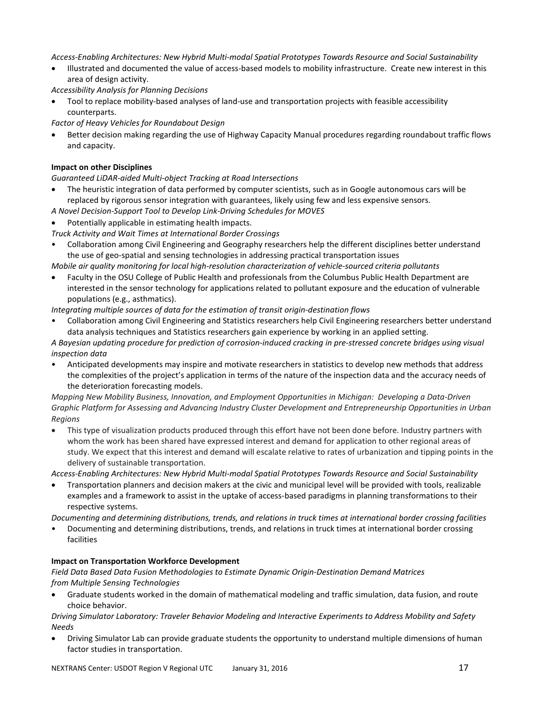*Access-Enabling Architectures: New Hybrid Multi-modal Spatial Prototypes Towards Resource and Social Sustainability*

• Illustrated and documented the value of access-based models to mobility infrastructure. Create new interest in this area of design activity.

*Accessibility Analysis for Planning Decisions*

• Tool to replace mobility-based analyses of land-use and transportation projects with feasible accessibility counterparts.

*Factor of Heavy Vehicles for Roundabout Design*

• Better decision making regarding the use of Highway Capacity Manual procedures regarding roundabout traffic flows and capacity.

## **Impact on other Disciplines**

*Guaranteed LiDAR-aided Multi-object Tracking at Road Intersections*

- The heuristic integration of data performed by computer scientists, such as in Google autonomous cars will be replaced by rigorous sensor integration with guarantees, likely using few and less expensive sensors.
- *A Novel Decision-Support Tool to Develop Link-Driving Schedules for MOVES*
- Potentially applicable in estimating health impacts.
- *Truck Activity and Wait Times at International Border Crossings*
- Collaboration among Civil Engineering and Geography researchers help the different disciplines better understand the use of geo-spatial and sensing technologies in addressing practical transportation issues

*Mobile air quality monitoring for local high-resolution characterization of vehicle-sourced criteria pollutants*

• Faculty in the OSU College of Public Health and professionals from the Columbus Public Health Department are interested in the sensor technology for applications related to pollutant exposure and the education of vulnerable populations (e.g., asthmatics).

*Integrating multiple sources of data for the estimation of transit origin-destination flows*

• Collaboration among Civil Engineering and Statistics researchers help Civil Engineering researchers better understand data analysis techniques and Statistics researchers gain experience by working in an applied setting.

*A Bayesian updating procedure for prediction of corrosion-induced cracking in pre-stressed concrete bridges using visual inspection data*

• Anticipated developments may inspire and motivate researchers in statistics to develop new methods that address the complexities of the project's application in terms of the nature of the inspection data and the accuracy needs of the deterioration forecasting models.

*Mapping New Mobility Business, Innovation, and Employment Opportunities in Michigan: Developing a Data-Driven Graphic Platform for Assessing and Advancing Industry Cluster Development and Entrepreneurship Opportunities in Urban Regions*

• This type of visualization products produced through this effort have not been done before. Industry partners with whom the work has been shared have expressed interest and demand for application to other regional areas of study. We expect that this interest and demand will escalate relative to rates of urbanization and tipping points in the delivery of sustainable transportation.

*Access-Enabling Architectures: New Hybrid Multi-modal Spatial Prototypes Towards Resource and Social Sustainability*

• Transportation planners and decision makers at the civic and municipal level will be provided with tools, realizable examples and a framework to assist in the uptake of access-based paradigms in planning transformations to their respective systems.

*Documenting and determining distributions, trends, and relations in truck times at international border crossing facilities*

• Documenting and determining distributions, trends, and relations in truck times at international border crossing facilities

### **Impact on Transportation Workforce Development**

*Field Data Based Data Fusion Methodologies to Estimate Dynamic Origin-Destination Demand Matrices from Multiple Sensing Technologies*

• Graduate students worked in the domain of mathematical modeling and traffic simulation, data fusion, and route choice behavior.

*Driving Simulator Laboratory: Traveler Behavior Modeling and Interactive Experiments to Address Mobility and Safety Needs*

• Driving Simulator Lab can provide graduate students the opportunity to understand multiple dimensions of human factor studies in transportation.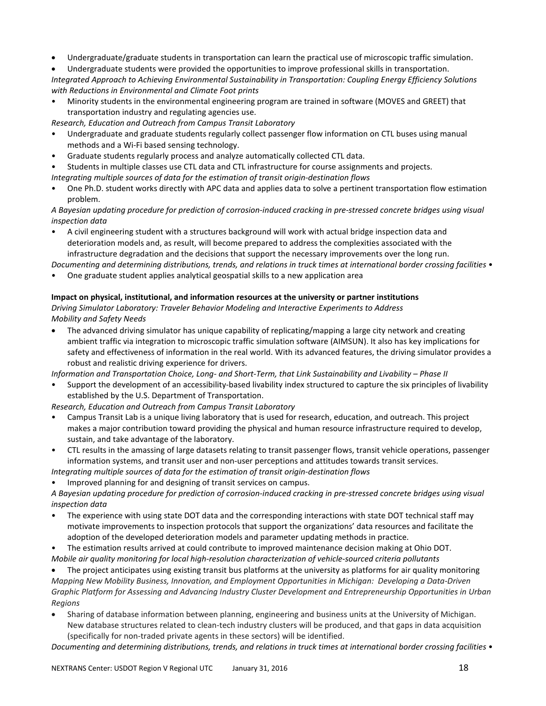- Undergraduate/graduate students in transportation can learn the practical use of microscopic traffic simulation.
- Undergraduate students were provided the opportunities to improve professional skills in transportation.

*Integrated Approach to Achieving Environmental Sustainability in Transportation: Coupling Energy Efficiency Solutions with Reductions in Environmental and Climate Foot prints*

• Minority students in the environmental engineering program are trained in software (MOVES and GREET) that transportation industry and regulating agencies use.

*Research, Education and Outreach from Campus Transit Laboratory*

- Undergraduate and graduate students regularly collect passenger flow information on CTL buses using manual methods and a Wi-Fi based sensing technology.
- Graduate students regularly process and analyze automatically collected CTL data.
- Students in multiple classes use CTL data and CTL infrastructure for course assignments and projects.
- *Integrating multiple sources of data for the estimation of transit origin-destination flows*
- One Ph.D. student works directly with APC data and applies data to solve a pertinent transportation flow estimation problem.

*A Bayesian updating procedure for prediction of corrosion-induced cracking in pre-stressed concrete bridges using visual inspection data*

• A civil engineering student with a structures background will work with actual bridge inspection data and deterioration models and, as result, will become prepared to address the complexities associated with the infrastructure degradation and the decisions that support the necessary improvements over the long run.

*Documenting and determining distributions, trends, and relations in truck times at international border crossing facilities* •

• One graduate student applies analytical geospatial skills to a new application area

#### **Impact on physical, institutional, and information resources at the university or partner institutions**

*Driving Simulator Laboratory: Traveler Behavior Modeling and Interactive Experiments to Address Mobility and Safety Needs*

• The advanced driving simulator has unique capability of replicating/mapping a large city network and creating ambient traffic via integration to microscopic traffic simulation software (AIMSUN). It also has key implications for safety and effectiveness of information in the real world. With its advanced features, the driving simulator provides a robust and realistic driving experience for drivers.

*Information and Transportation Choice, Long- and Short-Term, that Link Sustainability and Livability – Phase II*

• Support the development of an accessibility-based livability index structured to capture the six principles of livability established by the U.S. Department of Transportation.

*Research, Education and Outreach from Campus Transit Laboratory*

- Campus Transit Lab is a unique living laboratory that is used for research, education, and outreach. This project makes a major contribution toward providing the physical and human resource infrastructure required to develop, sustain, and take advantage of the laboratory.
- CTL results in the amassing of large datasets relating to transit passenger flows, transit vehicle operations, passenger information systems, and transit user and non-user perceptions and attitudes towards transit services.
- *Integrating multiple sources of data for the estimation of transit origin-destination flows*
- Improved planning for and designing of transit services on campus.

*A Bayesian updating procedure for prediction of corrosion-induced cracking in pre-stressed concrete bridges using visual inspection data*

- The experience with using state DOT data and the corresponding interactions with state DOT technical staff may motivate improvements to inspection protocols that support the organizations' data resources and facilitate the adoption of the developed deterioration models and parameter updating methods in practice.
- The estimation results arrived at could contribute to improved maintenance decision making at Ohio DOT.
- *Mobile air quality monitoring for local high-resolution characterization of vehicle-sourced criteria pollutants*

• The project anticipates using existing transit bus platforms at the university as platforms for air quality monitoring *Mapping New Mobility Business, Innovation, and Employment Opportunities in Michigan: Developing a Data-Driven Graphic Platform for Assessing and Advancing Industry Cluster Development and Entrepreneurship Opportunities in Urban Regions*

• Sharing of database information between planning, engineering and business units at the University of Michigan. New database structures related to clean-tech industry clusters will be produced, and that gaps in data acquisition (specifically for non-traded private agents in these sectors) will be identified.

*Documenting and determining distributions, trends, and relations in truck times at international border crossing facilities* •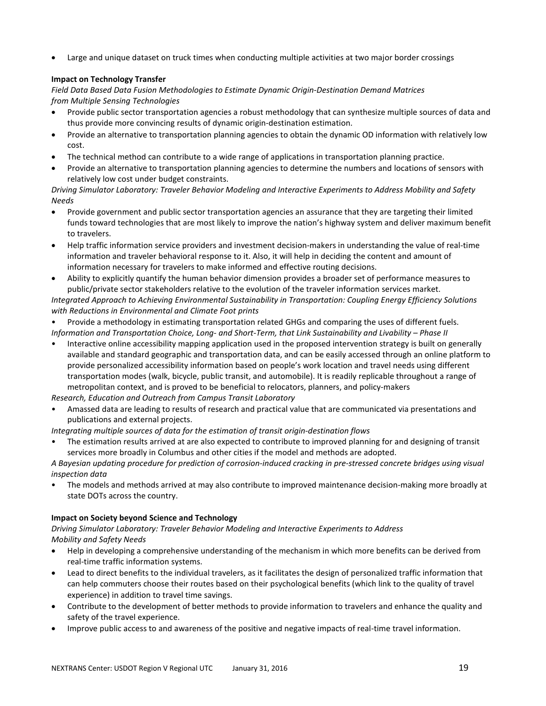Large and unique dataset on truck times when conducting multiple activities at two major border crossings

## **Impact on Technology Transfer**

*Field Data Based Data Fusion Methodologies to Estimate Dynamic Origin-Destination Demand Matrices from Multiple Sensing Technologies*

- Provide public sector transportation agencies a robust methodology that can synthesize multiple sources of data and thus provide more convincing results of dynamic origin-destination estimation.
- Provide an alternative to transportation planning agencies to obtain the dynamic OD information with relatively low cost.
- The technical method can contribute to a wide range of applications in transportation planning practice.
- Provide an alternative to transportation planning agencies to determine the numbers and locations of sensors with relatively low cost under budget constraints.

*Driving Simulator Laboratory: Traveler Behavior Modeling and Interactive Experiments to Address Mobility and Safety Needs*

- Provide government and public sector transportation agencies an assurance that they are targeting their limited funds toward technologies that are most likely to improve the nation's highway system and deliver maximum benefit to travelers.
- Help traffic information service providers and investment decision-makers in understanding the value of real-time information and traveler behavioral response to it. Also, it will help in deciding the content and amount of information necessary for travelers to make informed and effective routing decisions.
- Ability to explicitly quantify the human behavior dimension provides a broader set of performance measures to public/private sector stakeholders relative to the evolution of the traveler information services market. *Integrated Approach to Achieving Environmental Sustainability in Transportation: Coupling Energy Efficiency Solutions with Reductions in Environmental and Climate Foot prints*

• Provide a methodology in estimating transportation related GHGs and comparing the uses of different fuels. *Information and Transportation Choice, Long- and Short-Term, that Link Sustainability and Livability – Phase II*

• Interactive online accessibility mapping application used in the proposed intervention strategy is built on generally available and standard geographic and transportation data, and can be easily accessed through an online platform to provide personalized accessibility information based on people's work location and travel needs using different transportation modes (walk, bicycle, public transit, and automobile). It is readily replicable throughout a range of metropolitan context, and is proved to be beneficial to relocators, planners, and policy-makers

*Research, Education and Outreach from Campus Transit Laboratory*

• Amassed data are leading to results of research and practical value that are communicated via presentations and publications and external projects.

*Integrating multiple sources of data for the estimation of transit origin-destination flows*

• The estimation results arrived at are also expected to contribute to improved planning for and designing of transit services more broadly in Columbus and other cities if the model and methods are adopted.

*A Bayesian updating procedure for prediction of corrosion-induced cracking in pre-stressed concrete bridges using visual inspection data*

• The models and methods arrived at may also contribute to improved maintenance decision-making more broadly at state DOTs across the country.

### **Impact on Society beyond Science and Technology**

*Driving Simulator Laboratory: Traveler Behavior Modeling and Interactive Experiments to Address Mobility and Safety Needs*

- Help in developing a comprehensive understanding of the mechanism in which more benefits can be derived from real-time traffic information systems.
- Lead to direct benefits to the individual travelers, as it facilitates the design of personalized traffic information that can help commuters choose their routes based on their psychological benefits (which link to the quality of travel experience) in addition to travel time savings.
- Contribute to the development of better methods to provide information to travelers and enhance the quality and safety of the travel experience.
- Improve public access to and awareness of the positive and negative impacts of real-time travel information.